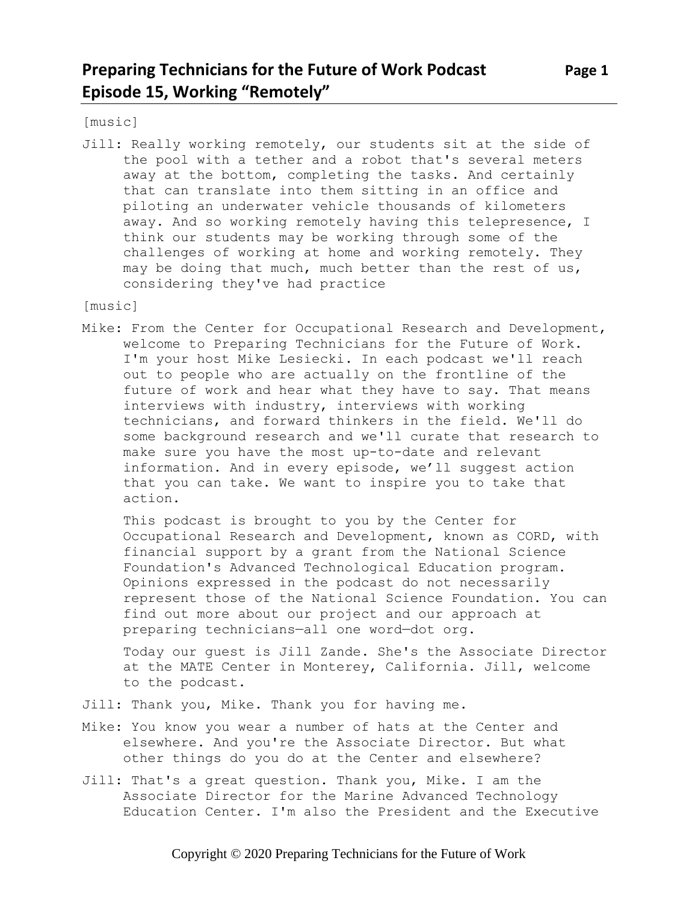[music]

Jill: Really working remotely, our students sit at the side of the pool with a tether and a robot that's several meters away at the bottom, completing the tasks. And certainly that can translate into them sitting in an office and piloting an underwater vehicle thousands of kilometers away. And so working remotely having this telepresence, I think our students may be working through some of the challenges of working at home and working remotely. They may be doing that much, much better than the rest of us, considering they've had practice

[music]

Mike: From the Center for Occupational Research and Development, welcome to Preparing Technicians for the Future of Work. I'm your host Mike Lesiecki. In each podcast we'll reach out to people who are actually on the frontline of the future of work and hear what they have to say. That means interviews with industry, interviews with working technicians, and forward thinkers in the field. We'll do some background research and we'll curate that research to make sure you have the most up-to-date and relevant information. And in every episode, we'll suggest action that you can take. We want to inspire you to take that action.

This podcast is brought to you by the Center for Occupational Research and Development, known as CORD, with financial support by a grant from the National Science Foundation's Advanced Technological Education program. Opinions expressed in the podcast do not necessarily represent those of the National Science Foundation. You can find out more about our project and our approach at preparing technicians—all one word—dot org.

Today our guest is Jill Zande. She's the Associate Director at the MATE Center in Monterey, California. Jill, welcome to the podcast.

- Jill: Thank you, Mike. Thank you for having me.
- Mike: You know you wear a number of hats at the Center and elsewhere. And you're the Associate Director. But what other things do you do at the Center and elsewhere?
- Jill: That's a great question. Thank you, Mike. I am the Associate Director for the Marine Advanced Technology Education Center. I'm also the President and the Executive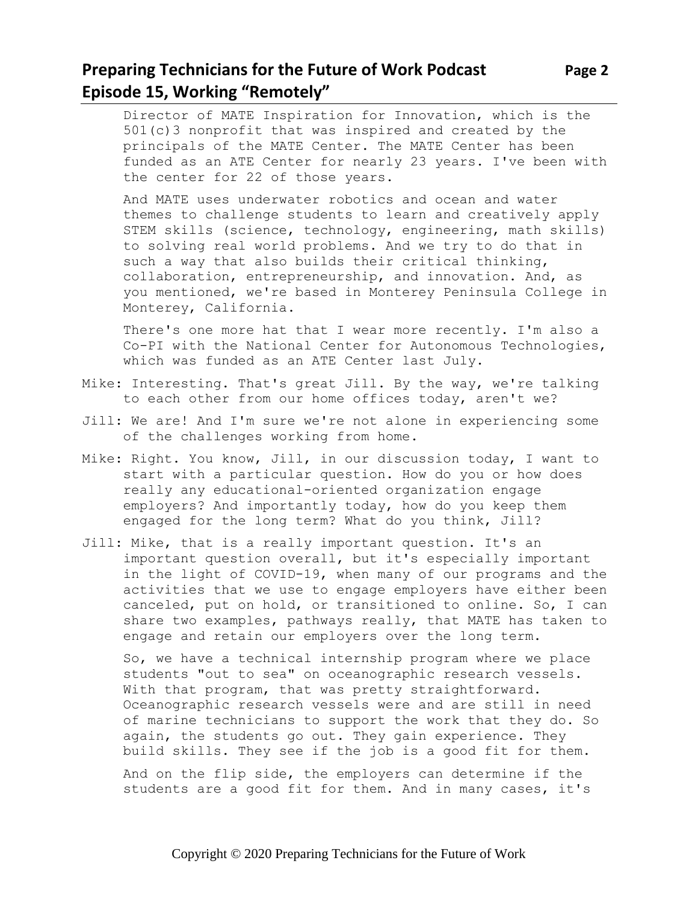#### **Preparing Technicians for the Future of Work Podcast Page 2 Episode 15, Working "Remotely"**

Director of MATE Inspiration for Innovation, which is the 501(c)3 nonprofit that was inspired and created by the principals of the MATE Center. The MATE Center has been funded as an ATE Center for nearly 23 years. I've been with the center for 22 of those years.

And MATE uses underwater robotics and ocean and water themes to challenge students to learn and creatively apply STEM skills (science, technology, engineering, math skills) to solving real world problems. And we try to do that in such a way that also builds their critical thinking, collaboration, entrepreneurship, and innovation. And, as you mentioned, we're based in Monterey Peninsula College in Monterey, California.

There's one more hat that I wear more recently. I'm also a Co-PI with the National Center for Autonomous Technologies, which was funded as an ATE Center last July.

- Mike: Interesting. That's great Jill. By the way, we're talking to each other from our home offices today, aren't we?
- Jill: We are! And I'm sure we're not alone in experiencing some of the challenges working from home.
- Mike: Right. You know, Jill, in our discussion today, I want to start with a particular question. How do you or how does really any educational-oriented organization engage employers? And importantly today, how do you keep them engaged for the long term? What do you think, Jill?
- Jill: Mike, that is a really important question. It's an important question overall, but it's especially important in the light of COVID-19, when many of our programs and the activities that we use to engage employers have either been canceled, put on hold, or transitioned to online. So, I can share two examples, pathways really, that MATE has taken to engage and retain our employers over the long term.

So, we have a technical internship program where we place students "out to sea" on oceanographic research vessels. With that program, that was pretty straightforward. Oceanographic research vessels were and are still in need of marine technicians to support the work that they do. So again, the students go out. They gain experience. They build skills. They see if the job is a good fit for them.

And on the flip side, the employers can determine if the students are a good fit for them. And in many cases, it's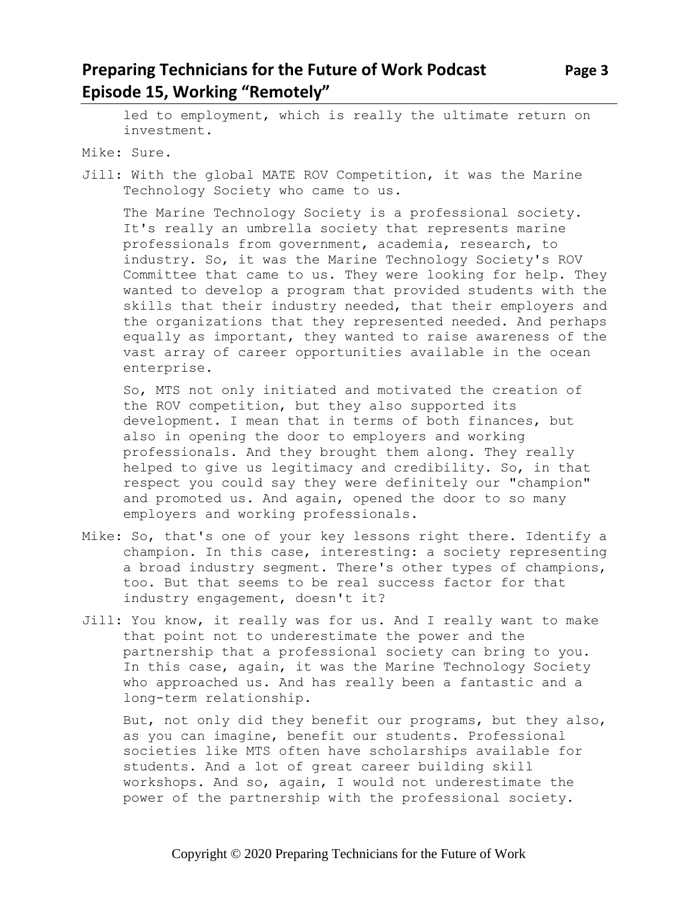#### **Preparing Technicians for the Future of Work Podcast Page 3 Episode 15, Working "Remotely"**

led to employment, which is really the ultimate return on investment.

Mike: Sure.

Jill: With the global MATE ROV Competition, it was the Marine Technology Society who came to us.

The Marine Technology Society is a professional society. It's really an umbrella society that represents marine professionals from government, academia, research, to industry. So, it was the Marine Technology Society's ROV Committee that came to us. They were looking for help. They wanted to develop a program that provided students with the skills that their industry needed, that their employers and the organizations that they represented needed. And perhaps equally as important, they wanted to raise awareness of the vast array of career opportunities available in the ocean enterprise.

So, MTS not only initiated and motivated the creation of the ROV competition, but they also supported its development. I mean that in terms of both finances, but also in opening the door to employers and working professionals. And they brought them along. They really helped to give us legitimacy and credibility. So, in that respect you could say they were definitely our "champion" and promoted us. And again, opened the door to so many employers and working professionals.

- Mike: So, that's one of your key lessons right there. Identify a champion. In this case, interesting: a society representing a broad industry segment. There's other types of champions, too. But that seems to be real success factor for that industry engagement, doesn't it?
- Jill: You know, it really was for us. And I really want to make that point not to underestimate the power and the partnership that a professional society can bring to you. In this case, again, it was the Marine Technology Society who approached us. And has really been a fantastic and a long-term relationship.

But, not only did they benefit our programs, but they also, as you can imagine, benefit our students. Professional societies like MTS often have scholarships available for students. And a lot of great career building skill workshops. And so, again, I would not underestimate the power of the partnership with the professional society.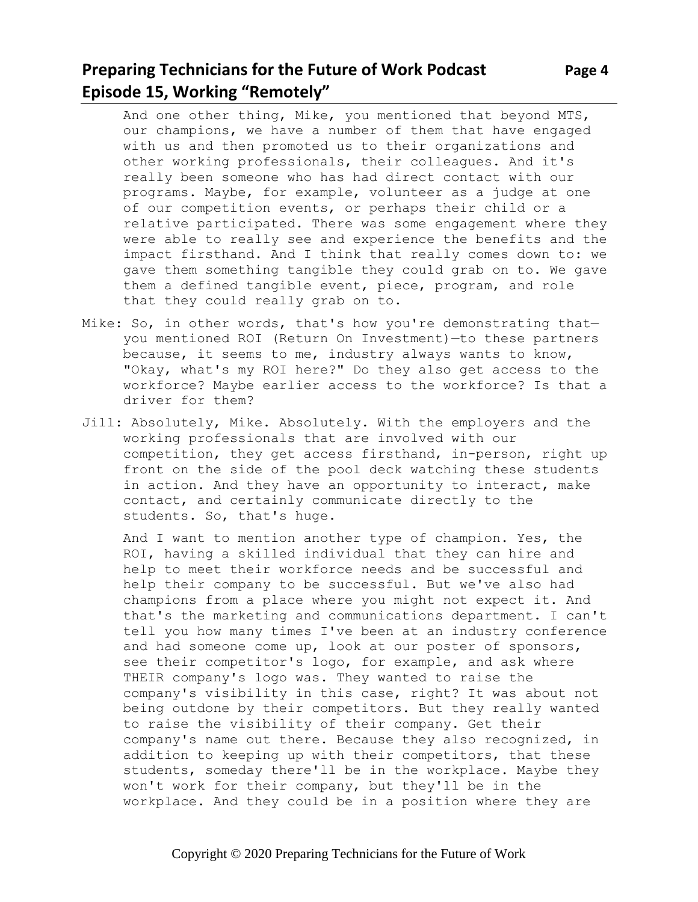## **Preparing Technicians for the Future of Work Podcast Page 4 Episode 15, Working "Remotely"**

And one other thing, Mike, you mentioned that beyond MTS, our champions, we have a number of them that have engaged with us and then promoted us to their organizations and other working professionals, their colleagues. And it's really been someone who has had direct contact with our programs. Maybe, for example, volunteer as a judge at one of our competition events, or perhaps their child or a relative participated. There was some engagement where they were able to really see and experience the benefits and the impact firsthand. And I think that really comes down to: we gave them something tangible they could grab on to. We gave them a defined tangible event, piece, program, and role that they could really grab on to.

- Mike: So, in other words, that's how you're demonstrating thatyou mentioned ROI (Return On Investment)—to these partners because, it seems to me, industry always wants to know, "Okay, what's my ROI here?" Do they also get access to the workforce? Maybe earlier access to the workforce? Is that a driver for them?
- Jill: Absolutely, Mike. Absolutely. With the employers and the working professionals that are involved with our competition, they get access firsthand, in-person, right up front on the side of the pool deck watching these students in action. And they have an opportunity to interact, make contact, and certainly communicate directly to the students. So, that's huge.

And I want to mention another type of champion. Yes, the ROI, having a skilled individual that they can hire and help to meet their workforce needs and be successful and help their company to be successful. But we've also had champions from a place where you might not expect it. And that's the marketing and communications department. I can't tell you how many times I've been at an industry conference and had someone come up, look at our poster of sponsors, see their competitor's logo, for example, and ask where THEIR company's logo was. They wanted to raise the company's visibility in this case, right? It was about not being outdone by their competitors. But they really wanted to raise the visibility of their company. Get their company's name out there. Because they also recognized, in addition to keeping up with their competitors, that these students, someday there'll be in the workplace. Maybe they won't work for their company, but they'll be in the workplace. And they could be in a position where they are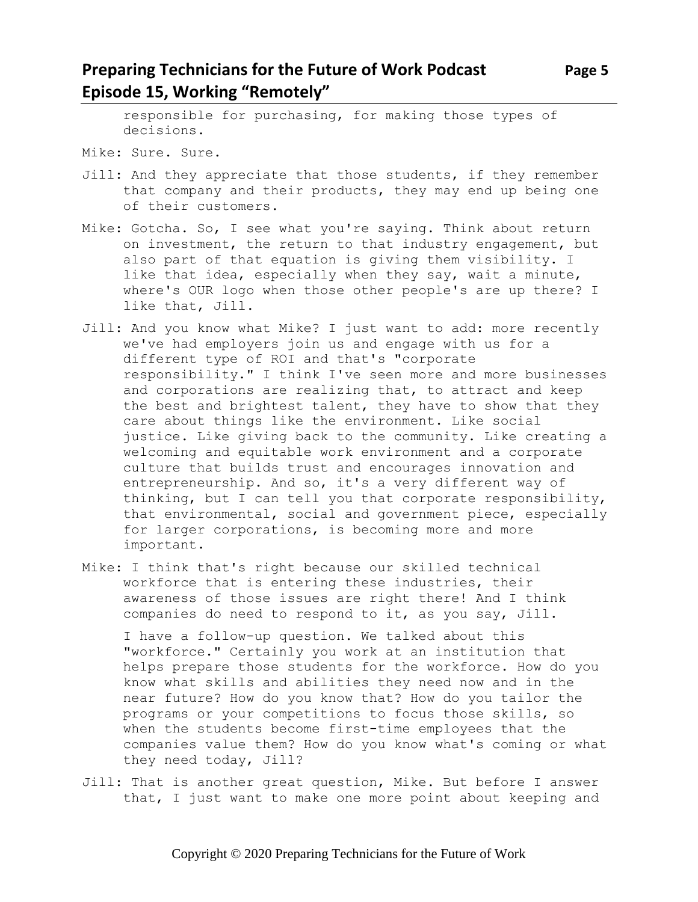#### **Preparing Technicians for the Future of Work Podcast** Page 5 **Episode 15, Working "Remotely"**

responsible for purchasing, for making those types of decisions.

- Mike: Sure. Sure.
- Jill: And they appreciate that those students, if they remember that company and their products, they may end up being one of their customers.
- Mike: Gotcha. So, I see what you're saying. Think about return on investment, the return to that industry engagement, but also part of that equation is giving them visibility. I like that idea, especially when they say, wait a minute, where's OUR logo when those other people's are up there? I like that, Jill.
- Jill: And you know what Mike? I just want to add: more recently we've had employers join us and engage with us for a different type of ROI and that's "corporate responsibility." I think I've seen more and more businesses and corporations are realizing that, to attract and keep the best and brightest talent, they have to show that they care about things like the environment. Like social justice. Like giving back to the community. Like creating a welcoming and equitable work environment and a corporate culture that builds trust and encourages innovation and entrepreneurship. And so, it's a very different way of thinking, but I can tell you that corporate responsibility, that environmental, social and government piece, especially for larger corporations, is becoming more and more important.
- Mike: I think that's right because our skilled technical workforce that is entering these industries, their awareness of those issues are right there! And I think companies do need to respond to it, as you say, Jill.

I have a follow-up question. We talked about this "workforce." Certainly you work at an institution that helps prepare those students for the workforce. How do you know what skills and abilities they need now and in the near future? How do you know that? How do you tailor the programs or your competitions to focus those skills, so when the students become first-time employees that the companies value them? How do you know what's coming or what they need today, Jill?

Jill: That is another great question, Mike. But before I answer that, I just want to make one more point about keeping and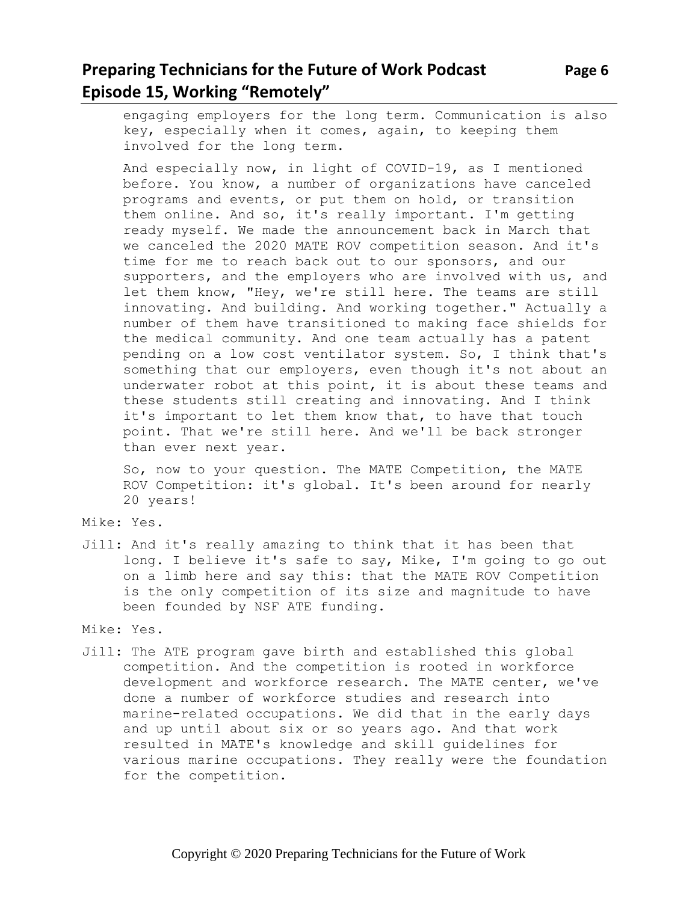## **Preparing Technicians for the Future of Work Podcast** Page 6 **Episode 15, Working "Remotely"**

engaging employers for the long term. Communication is also key, especially when it comes, again, to keeping them involved for the long term.

And especially now, in light of COVID-19, as I mentioned before. You know, a number of organizations have canceled programs and events, or put them on hold, or transition them online. And so, it's really important. I'm getting ready myself. We made the announcement back in March that we canceled the 2020 MATE ROV competition season. And it's time for me to reach back out to our sponsors, and our supporters, and the employers who are involved with us, and let them know, "Hey, we're still here. The teams are still innovating. And building. And working together." Actually a number of them have transitioned to making face shields for the medical community. And one team actually has a patent pending on a low cost ventilator system. So, I think that's something that our employers, even though it's not about an underwater robot at this point, it is about these teams and these students still creating and innovating. And I think it's important to let them know that, to have that touch point. That we're still here. And we'll be back stronger than ever next year.

So, now to your question. The MATE Competition, the MATE ROV Competition: it's global. It's been around for nearly 20 years!

- Mike: Yes.
- Jill: And it's really amazing to think that it has been that long. I believe it's safe to say, Mike, I'm going to go out on a limb here and say this: that the MATE ROV Competition is the only competition of its size and magnitude to have been founded by NSF ATE funding.

Mike: Yes.

Jill: The ATE program gave birth and established this global competition. And the competition is rooted in workforce development and workforce research. The MATE center, we've done a number of workforce studies and research into marine-related occupations. We did that in the early days and up until about six or so years ago. And that work resulted in MATE's knowledge and skill guidelines for various marine occupations. They really were the foundation for the competition.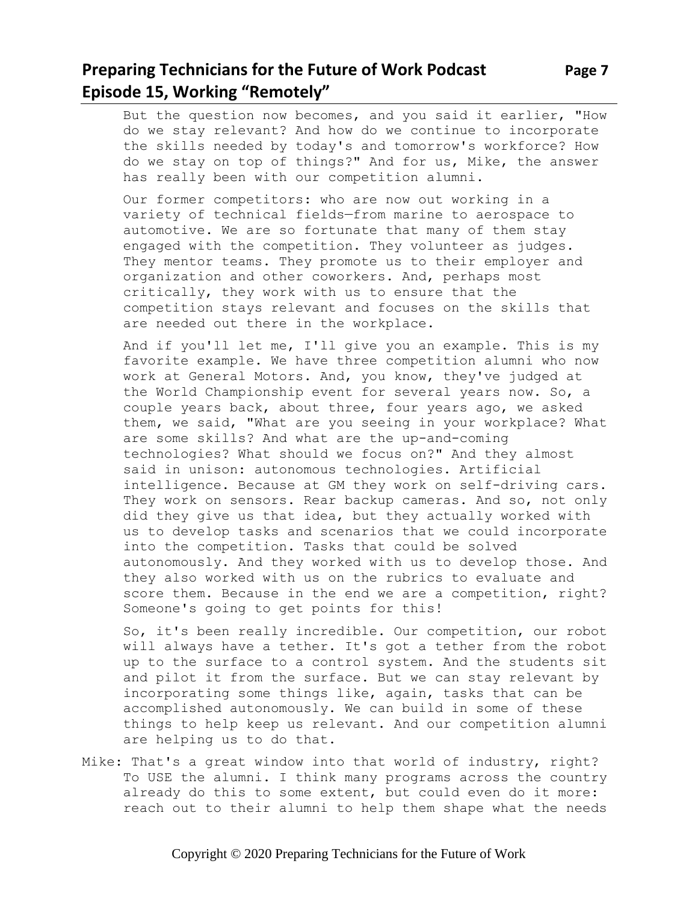# **Preparing Technicians for the Future of Work Podcast Page 7 Episode 15, Working "Remotely"**

But the question now becomes, and you said it earlier, "How do we stay relevant? And how do we continue to incorporate the skills needed by today's and tomorrow's workforce? How do we stay on top of things?" And for us, Mike, the answer has really been with our competition alumni.

Our former competitors: who are now out working in a variety of technical fields—from marine to aerospace to automotive. We are so fortunate that many of them stay engaged with the competition. They volunteer as judges. They mentor teams. They promote us to their employer and organization and other coworkers. And, perhaps most critically, they work with us to ensure that the competition stays relevant and focuses on the skills that are needed out there in the workplace.

And if you'll let me, I'll give you an example. This is my favorite example. We have three competition alumni who now work at General Motors. And, you know, they've judged at the World Championship event for several years now. So, a couple years back, about three, four years ago, we asked them, we said, "What are you seeing in your workplace? What are some skills? And what are the up-and-coming technologies? What should we focus on?" And they almost said in unison: autonomous technologies. Artificial intelligence. Because at GM they work on self-driving cars. They work on sensors. Rear backup cameras. And so, not only did they give us that idea, but they actually worked with us to develop tasks and scenarios that we could incorporate into the competition. Tasks that could be solved autonomously. And they worked with us to develop those. And they also worked with us on the rubrics to evaluate and score them. Because in the end we are a competition, right? Someone's going to get points for this!

So, it's been really incredible. Our competition, our robot will always have a tether. It's got a tether from the robot up to the surface to a control system. And the students sit and pilot it from the surface. But we can stay relevant by incorporating some things like, again, tasks that can be accomplished autonomously. We can build in some of these things to help keep us relevant. And our competition alumni are helping us to do that.

Mike: That's a great window into that world of industry, right? To USE the alumni. I think many programs across the country already do this to some extent, but could even do it more: reach out to their alumni to help them shape what the needs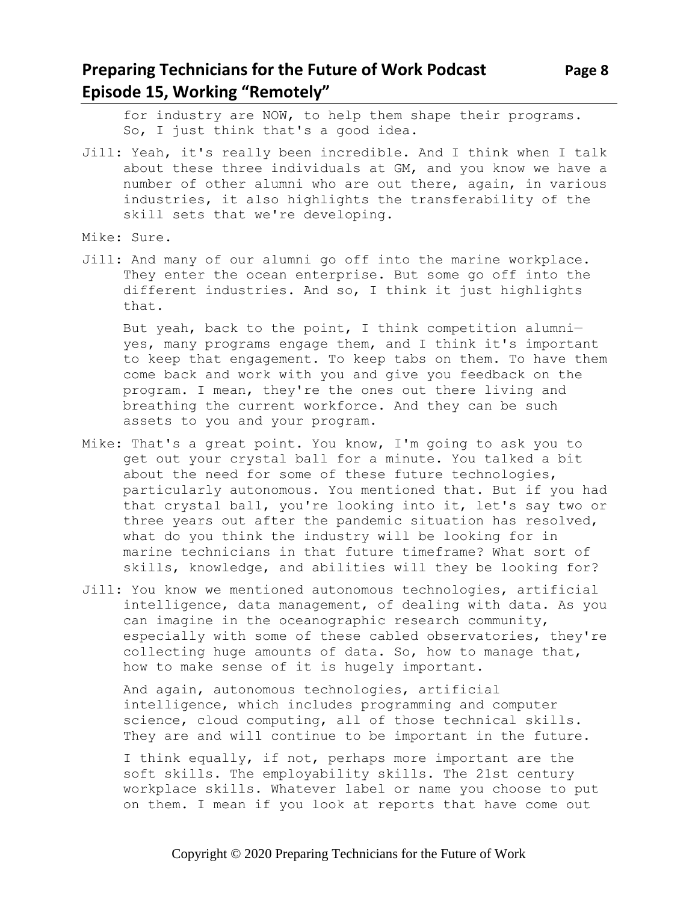for industry are NOW, to help them shape their programs. So, I just think that's a good idea.

- Jill: Yeah, it's really been incredible. And I think when I talk about these three individuals at GM, and you know we have a number of other alumni who are out there, again, in various industries, it also highlights the transferability of the skill sets that we're developing.
- Mike: Sure.
- Jill: And many of our alumni go off into the marine workplace. They enter the ocean enterprise. But some go off into the different industries. And so, I think it just highlights that.

But yeah, back to the point, I think competition alumni yes, many programs engage them, and I think it's important to keep that engagement. To keep tabs on them. To have them come back and work with you and give you feedback on the program. I mean, they're the ones out there living and breathing the current workforce. And they can be such assets to you and your program.

- Mike: That's a great point. You know, I'm going to ask you to get out your crystal ball for a minute. You talked a bit about the need for some of these future technologies, particularly autonomous. You mentioned that. But if you had that crystal ball, you're looking into it, let's say two or three years out after the pandemic situation has resolved, what do you think the industry will be looking for in marine technicians in that future timeframe? What sort of skills, knowledge, and abilities will they be looking for?
- Jill: You know we mentioned autonomous technologies, artificial intelligence, data management, of dealing with data. As you can imagine in the oceanographic research community, especially with some of these cabled observatories, they're collecting huge amounts of data. So, how to manage that, how to make sense of it is hugely important.

And again, autonomous technologies, artificial intelligence, which includes programming and computer science, cloud computing, all of those technical skills. They are and will continue to be important in the future.

I think equally, if not, perhaps more important are the soft skills. The employability skills. The 21st century workplace skills. Whatever label or name you choose to put on them. I mean if you look at reports that have come out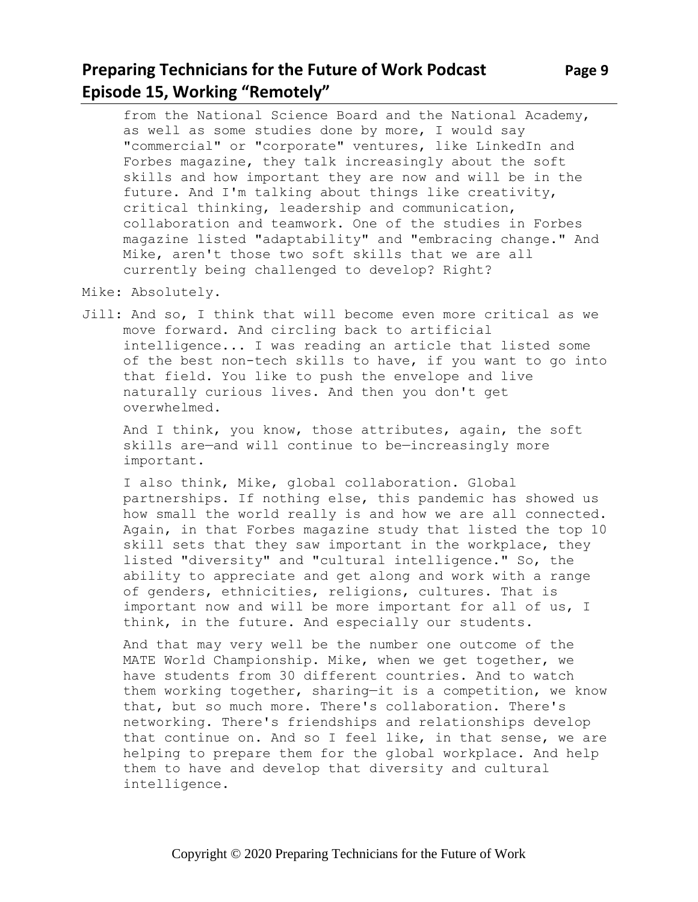## **Preparing Technicians for the Future of Work Podcast** Page 9 **Episode 15, Working "Remotely"**

from the National Science Board and the National Academy, as well as some studies done by more, I would say "commercial" or "corporate" ventures, like LinkedIn and Forbes magazine, they talk increasingly about the soft skills and how important they are now and will be in the future. And I'm talking about things like creativity, critical thinking, leadership and communication, collaboration and teamwork. One of the studies in Forbes magazine listed "adaptability" and "embracing change." And Mike, aren't those two soft skills that we are all currently being challenged to develop? Right?

Mike: Absolutely.

Jill: And so, I think that will become even more critical as we move forward. And circling back to artificial intelligence... I was reading an article that listed some of the best non-tech skills to have, if you want to go into that field. You like to push the envelope and live naturally curious lives. And then you don't get overwhelmed.

And I think, you know, those attributes, again, the soft skills are—and will continue to be—increasingly more important.

I also think, Mike, global collaboration. Global partnerships. If nothing else, this pandemic has showed us how small the world really is and how we are all connected. Again, in that Forbes magazine study that listed the top 10 skill sets that they saw important in the workplace, they listed "diversity" and "cultural intelligence." So, the ability to appreciate and get along and work with a range of genders, ethnicities, religions, cultures. That is important now and will be more important for all of us, I think, in the future. And especially our students.

And that may very well be the number one outcome of the MATE World Championship. Mike, when we get together, we have students from 30 different countries. And to watch them working together, sharing—it is a competition, we know that, but so much more. There's collaboration. There's networking. There's friendships and relationships develop that continue on. And so I feel like, in that sense, we are helping to prepare them for the global workplace. And help them to have and develop that diversity and cultural intelligence.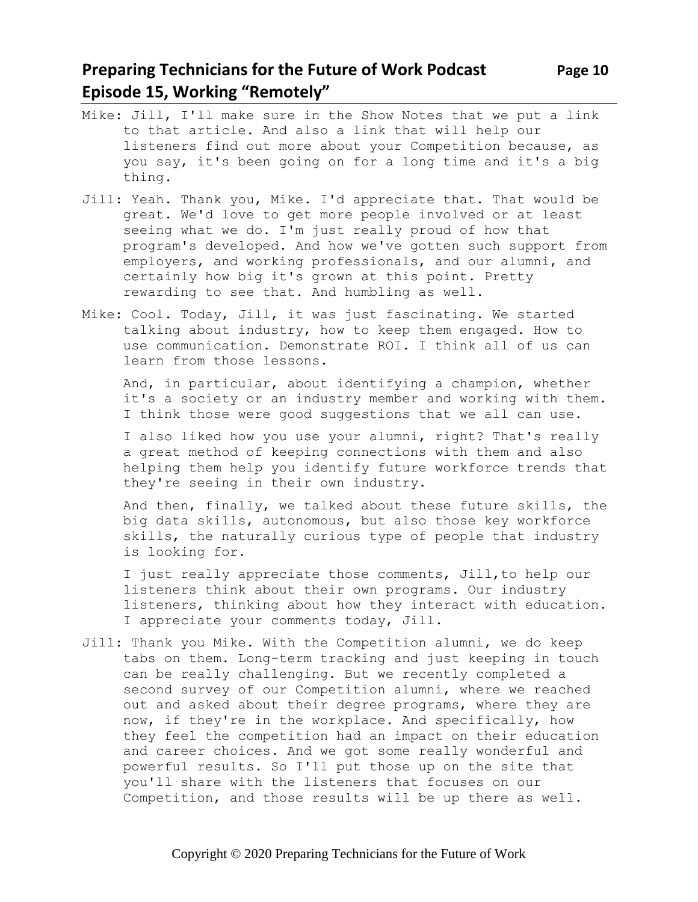### **Preparing Technicians for the Future of Work Podcast Page 10 Episode 15, Working "Remotely"**

thing.

- Mike: Jill, I'll make sure in the Show Notes that we put a link to that article. And also a link that will help our listeners find out more about your Competition because, as you say, it's been going on for a long time and it's a big
- Jill: Yeah. Thank you, Mike. I'd appreciate that. That would be great. We'd love to get more people involved or at least seeing what we do. I'm just really proud of how that program's developed. And how we've gotten such support from employers, and working professionals, and our alumni, and certainly how big it's grown at this point. Pretty rewarding to see that. And humbling as well.
- Mike: Cool. Today, Jill, it was just fascinating. We started talking about industry, how to keep them engaged. How to use communication. Demonstrate ROI. I think all of us can learn from those lessons.

And, in particular, about identifying a champion, whether it's a society or an industry member and working with them. I think those were good suggestions that we all can use.

I also liked how you use your alumni, right? That's really a great method of keeping connections with them and also helping them help you identify future workforce trends that they're seeing in their own industry.

And then, finally, we talked about these future skills, the big data skills, autonomous, but also those key workforce skills, the naturally curious type of people that industry is looking for.

I just really appreciate those comments, Jill,to help our listeners think about their own programs. Our industry listeners, thinking about how they interact with education. I appreciate your comments today, Jill.

Jill: Thank you Mike. With the Competition alumni, we do keep tabs on them. Long-term tracking and just keeping in touch can be really challenging. But we recently completed a second survey of our Competition alumni, where we reached out and asked about their degree programs, where they are now, if they're in the workplace. And specifically, how they feel the competition had an impact on their education and career choices. And we got some really wonderful and powerful results. So I'll put those up on the site that you'll share with the listeners that focuses on our Competition, and those results will be up there as well.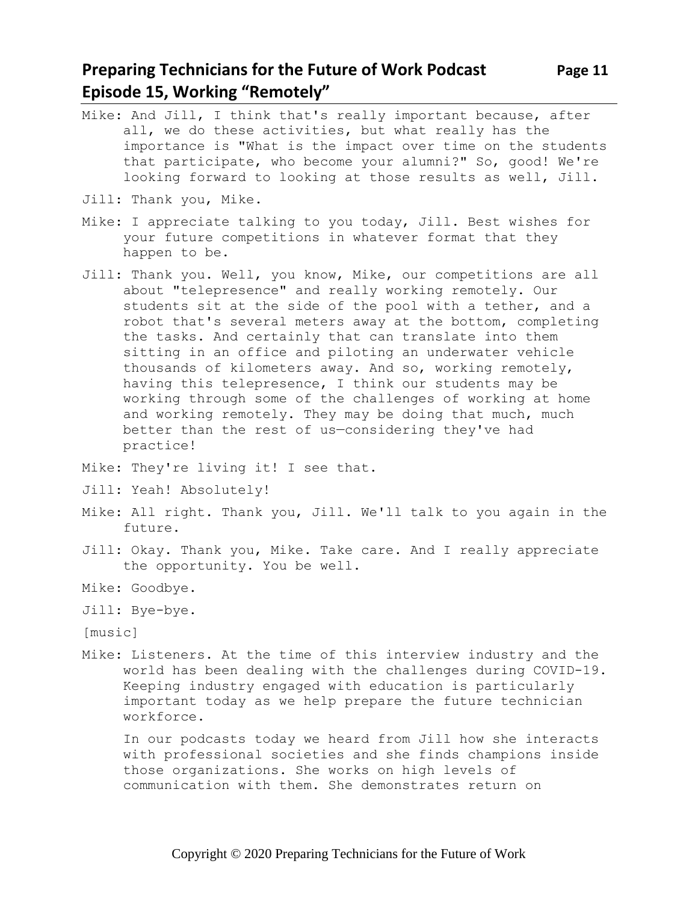#### **Preparing Technicians for the Future of Work Podcast Page 11 Episode 15, Working "Remotely"**

- Mike: And Jill, I think that's really important because, after all, we do these activities, but what really has the importance is "What is the impact over time on the students that participate, who become your alumni?" So, good! We're looking forward to looking at those results as well, Jill.
- Jill: Thank you, Mike.
- Mike: I appreciate talking to you today, Jill. Best wishes for your future competitions in whatever format that they happen to be.
- Jill: Thank you. Well, you know, Mike, our competitions are all about "telepresence" and really working remotely. Our students sit at the side of the pool with a tether, and a robot that's several meters away at the bottom, completing the tasks. And certainly that can translate into them sitting in an office and piloting an underwater vehicle thousands of kilometers away. And so, working remotely, having this telepresence, I think our students may be working through some of the challenges of working at home and working remotely. They may be doing that much, much better than the rest of us—considering they've had practice!
- Mike: They're living it! I see that.
- Jill: Yeah! Absolutely!
- Mike: All right. Thank you, Jill. We'll talk to you again in the future.
- Jill: Okay. Thank you, Mike. Take care. And I really appreciate the opportunity. You be well.
- Mike: Goodbye.
- Jill: Bye-bye.
- [music]
- Mike: Listeners. At the time of this interview industry and the world has been dealing with the challenges during COVID-19. Keeping industry engaged with education is particularly important today as we help prepare the future technician workforce.

In our podcasts today we heard from Jill how she interacts with professional societies and she finds champions inside those organizations. She works on high levels of communication with them. She demonstrates return on